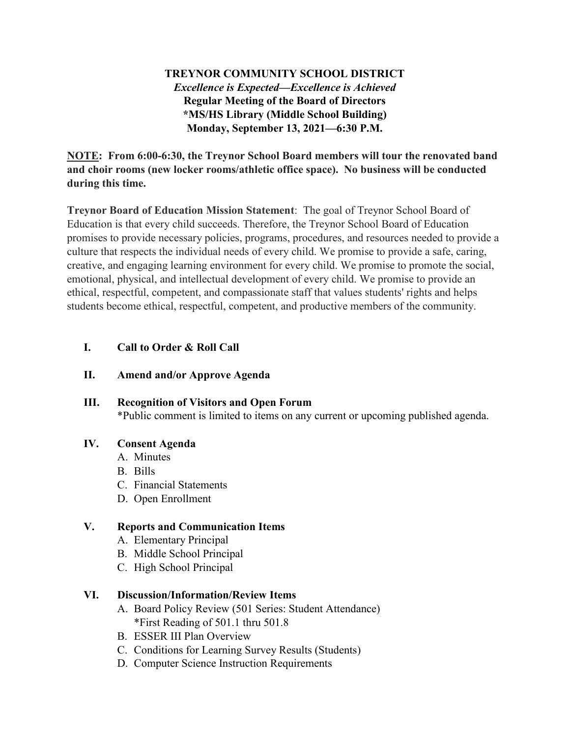# **TREYNOR COMMUNITY SCHOOL DISTRICT** *Excellence is Expected—Excellence is Achieved* **Regular Meeting of the Board of Directors \*MS/HS Library (Middle School Building) Monday, September 13, 2021—6:30 P.M.**

**NOTE: From 6:00-6:30, the Treynor School Board members will tour the renovated band and choir rooms (new locker rooms/athletic office space). No business will be conducted during this time.** 

**Treynor Board of Education Mission Statement**: The goal of Treynor School Board of Education is that every child succeeds. Therefore, the Treynor School Board of Education promises to provide necessary policies, programs, procedures, and resources needed to provide a culture that respects the individual needs of every child. We promise to provide a safe, caring, creative, and engaging learning environment for every child. We promise to promote the social, emotional, physical, and intellectual development of every child. We promise to provide an ethical, respectful, competent, and compassionate staff that values students' rights and helps students become ethical, respectful, competent, and productive members of the community.

### **I. Call to Order & Roll Call**

#### **II. Amend and/or Approve Agenda**

### **III. Recognition of Visitors and Open Forum**

\*Public comment is limited to items on any current or upcoming published agenda.

### **IV. Consent Agenda**

- A. Minutes
	- B. Bills
	- C. Financial Statements
	- D. Open Enrollment

### **V. Reports and Communication Items**

- A. Elementary Principal
- B. Middle School Principal
- C. High School Principal

### **VI. Discussion/Information/Review Items**

- A. Board Policy Review (501 Series: Student Attendance) \*First Reading of 501.1 thru 501.8
- B. ESSER III Plan Overview
- C. Conditions for Learning Survey Results (Students)
- D. Computer Science Instruction Requirements